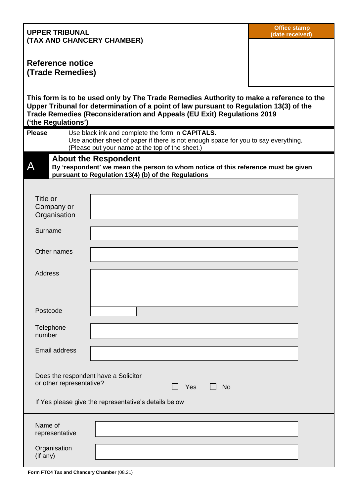| <b>UPPER TRIBUNAL</b><br>(TAX AND CHANCERY CHAMBER)                                                                                                                                                                                                                                |                                                                                                                                                                                           | <b>Office stamp</b><br>(date received) |  |  |  |
|------------------------------------------------------------------------------------------------------------------------------------------------------------------------------------------------------------------------------------------------------------------------------------|-------------------------------------------------------------------------------------------------------------------------------------------------------------------------------------------|----------------------------------------|--|--|--|
| Reference notice                                                                                                                                                                                                                                                                   |                                                                                                                                                                                           |                                        |  |  |  |
| (Trade Remedies)                                                                                                                                                                                                                                                                   |                                                                                                                                                                                           |                                        |  |  |  |
| This form is to be used only by The Trade Remedies Authority to make a reference to the<br>Upper Tribunal for determination of a point of law pursuant to Regulation 13(3) of the<br>Trade Remedies (Reconsideration and Appeals (EU Exit) Regulations 2019<br>('the Regulations') |                                                                                                                                                                                           |                                        |  |  |  |
| <b>Please</b>                                                                                                                                                                                                                                                                      | Use black ink and complete the form in CAPITALS.<br>Use another sheet of paper if there is not enough space for you to say everything.<br>(Please put your name at the top of the sheet.) |                                        |  |  |  |
| <b>About the Respondent</b><br>А<br>By 'respondent' we mean the person to whom notice of this reference must be given<br>pursuant to Regulation 13(4) (b) of the Regulations                                                                                                       |                                                                                                                                                                                           |                                        |  |  |  |
|                                                                                                                                                                                                                                                                                    |                                                                                                                                                                                           |                                        |  |  |  |
| Title or<br>Company or<br>Organisation                                                                                                                                                                                                                                             |                                                                                                                                                                                           |                                        |  |  |  |
| Surname                                                                                                                                                                                                                                                                            |                                                                                                                                                                                           |                                        |  |  |  |
| Other names                                                                                                                                                                                                                                                                        |                                                                                                                                                                                           |                                        |  |  |  |
| <b>Address</b>                                                                                                                                                                                                                                                                     |                                                                                                                                                                                           |                                        |  |  |  |
| Postcode                                                                                                                                                                                                                                                                           |                                                                                                                                                                                           |                                        |  |  |  |
| Telephone<br>number                                                                                                                                                                                                                                                                |                                                                                                                                                                                           |                                        |  |  |  |
| <b>Email address</b>                                                                                                                                                                                                                                                               |                                                                                                                                                                                           |                                        |  |  |  |
| Does the respondent have a Solicitor<br>or other representative?<br>Yes<br><b>No</b>                                                                                                                                                                                               |                                                                                                                                                                                           |                                        |  |  |  |
| If Yes please give the representative's details below                                                                                                                                                                                                                              |                                                                                                                                                                                           |                                        |  |  |  |
| Name of<br>representative                                                                                                                                                                                                                                                          |                                                                                                                                                                                           |                                        |  |  |  |
| Organisation<br>(if any)                                                                                                                                                                                                                                                           |                                                                                                                                                                                           |                                        |  |  |  |

**Form FTC4 Tax and Chancery Chamber** (08.21)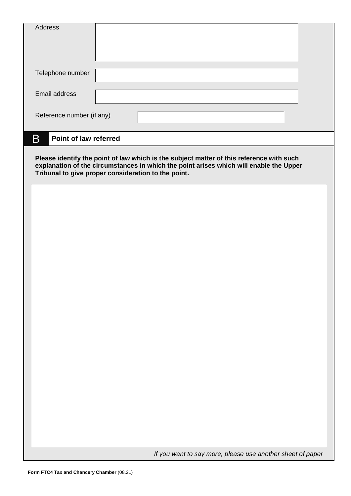| <b>Address</b>                                                                                                                                                                                                                                                          |  |  |  |                                                            |  |
|-------------------------------------------------------------------------------------------------------------------------------------------------------------------------------------------------------------------------------------------------------------------------|--|--|--|------------------------------------------------------------|--|
| Telephone number                                                                                                                                                                                                                                                        |  |  |  |                                                            |  |
| Email address                                                                                                                                                                                                                                                           |  |  |  |                                                            |  |
| Reference number (if any)                                                                                                                                                                                                                                               |  |  |  |                                                            |  |
| B<br>Point of law referred<br>Please identify the point of law which is the subject matter of this reference with such<br>explanation of the circumstances in which the point arises which will enable the Upper<br>Tribunal to give proper consideration to the point. |  |  |  |                                                            |  |
|                                                                                                                                                                                                                                                                         |  |  |  |                                                            |  |
|                                                                                                                                                                                                                                                                         |  |  |  |                                                            |  |
|                                                                                                                                                                                                                                                                         |  |  |  |                                                            |  |
|                                                                                                                                                                                                                                                                         |  |  |  |                                                            |  |
|                                                                                                                                                                                                                                                                         |  |  |  |                                                            |  |
|                                                                                                                                                                                                                                                                         |  |  |  |                                                            |  |
|                                                                                                                                                                                                                                                                         |  |  |  |                                                            |  |
|                                                                                                                                                                                                                                                                         |  |  |  |                                                            |  |
|                                                                                                                                                                                                                                                                         |  |  |  | If you want to say more, please use another sheet of paper |  |